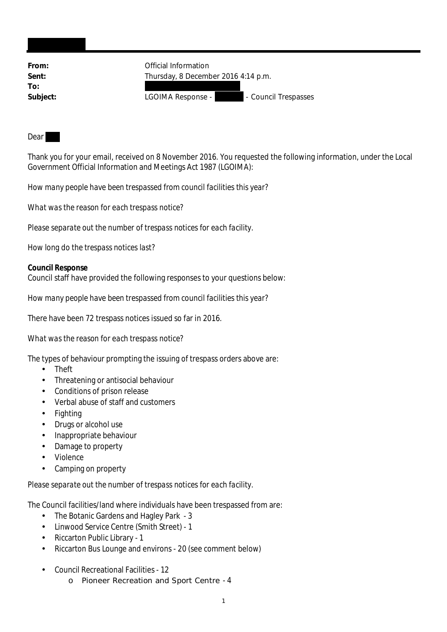| From:    | Official Information                      |
|----------|-------------------------------------------|
| Sent:    | Thursday, 8 December 2016 4:14 p.m.       |
| To:      |                                           |
| Subject: | - Council Trespasses<br>LGOIMA Response - |
|          |                                           |

Dear

Thank you for your email, received on 8 November 2016. You requested the following information, under the Local Government Official Information and Meetings Act 1987 (LGOIMA):

*How many people have been trespassed from council facilities this year?*

*What was the reason for each trespass notice?*

*Please separate out the number of trespass notices for each facility.*

*How long do the trespass notices last?*

**Council Response** Council staff have provided the following responses to your questions below:

*How many people have been trespassed from council facilities this year?*

There have been 72 trespass notices issued so far in 2016.

*What was the reason for each trespass notice?*

The types of behaviour prompting the issuing of trespass orders above are:

- Theft
- Threatening or antisocial behaviour
- Conditions of prison release
- Verbal abuse of staff and customers
- Fighting
- Drugs or alcohol use  $\mathbf{r}$
- Inappropriate behaviour  $\mathbf{r}$
- Damage to property
- Violence
- Camping on property

*Please separate out the number of trespass notices for each facility.*

The Council facilities/land where individuals have been trespassed from are:

- The Botanic Gardens and Hagley Park 3
- Linwood Service Centre (Smith Street) 1  $\mathbf{r}$
- Riccarton Public Library 1
- Riccarton Bus Lounge and environs 20 (see comment below)  $\mathbf{r}$
- Council Recreational Facilities 12
	- o Pioneer Recreation and Sport Centre 4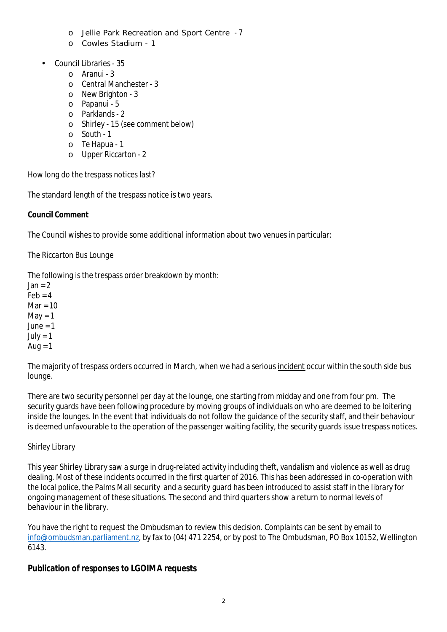- o Jellie Park Recreation and Sport Centre 7
- o Cowles Stadium 1
- Council Libraries 35
	- $O$  Aranui 3
	- o Central Manchester 3
	- o New Brighton 3
	- o Papanui 5
	- o Parklands 2
	- o Shirley 15 (see comment below)
	- o South 1
	- o Te Hapua 1
	- o Upper Riccarton 2

*How long do the trespass notices last?*

The standard length of the trespass notice is two years.

**Council Comment**

The Council wishes to provide some additional information about two venues in particular:

## *The Riccarton Bus Lounge*

The following is the trespass order breakdown by month:

 $lan = 2$  $F \triangleleft h = 4$  $Mar = 10$  $M$ av = 1  $June = 1$  $July = 1$ Aug  $= 1$ 

The majority of trespass orders occurred in March, when we had a serious incident occur within the south side bus lounge.

There are two security personnel per day at the lounge, one starting from midday and one from four pm. The security guards have been following procedure by moving groups of individuals on who are deemed to be loitering inside the lounges. In the event that individuals do not follow the guidance of the security staff, and their behaviour is deemed unfavourable to the operation of the passenger waiting facility, the security guards issue trespass notices.

## *Shirley Library*

This year Shirley Library saw a surge in drug-related activity including theft, vandalism and violence as well as drug dealing. Most of these incidents occurred in the first quarter of 2016. This has been addressed in co-operation with the local police, the Palms Mall security and a security guard has been introduced to assist staff in the library for ongoing management of these situations. The second and third quarters show a return to normal levels of behaviour in the library.

You have the right to request the Ombudsman to review this decision. Complaints can be sent by email to info@ombudsman.parliament.nz, by fax to (04) 471 2254, or by post to The Ombudsman, PO Box 10152, Wellington 6143.

**Publication of responses to LGOIMA requests**